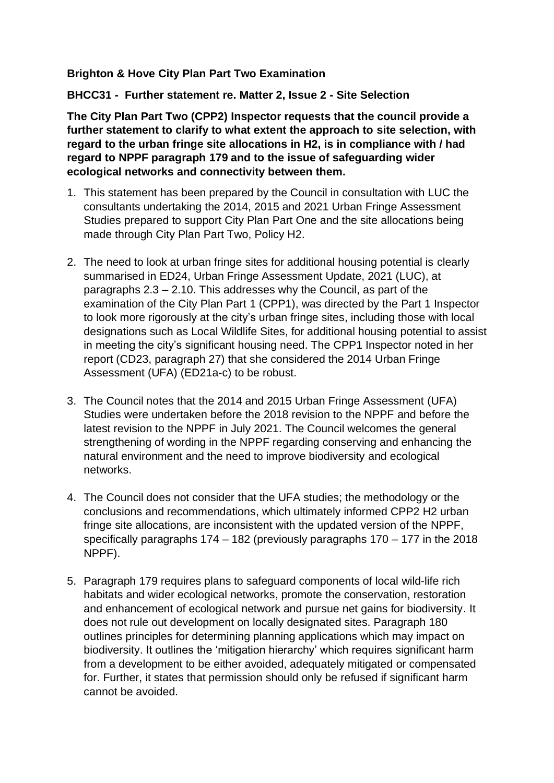## **Brighton & Hove City Plan Part Two Examination**

**BHCC31 - Further statement re. Matter 2, Issue 2 - Site Selection** 

**The City Plan Part Two (CPP2) Inspector requests that the council provide a further statement to clarify to what extent the approach to site selection, with regard to the urban fringe site allocations in H2, is in compliance with / had regard to NPPF paragraph 179 and to the issue of safeguarding wider ecological networks and connectivity between them.** 

- 1. This statement has been prepared by the Council in consultation with LUC the consultants undertaking the 2014, 2015 and 2021 Urban Fringe Assessment Studies prepared to support City Plan Part One and the site allocations being made through City Plan Part Two, Policy H2.
- 2. The need to look at urban fringe sites for additional housing potential is clearly summarised in ED24, Urban Fringe Assessment Update, 2021 (LUC), at paragraphs 2.3 – 2.10. This addresses why the Council, as part of the examination of the City Plan Part 1 (CPP1), was directed by the Part 1 Inspector to look more rigorously at the city's urban fringe sites, including those with local designations such as Local Wildlife Sites, for additional housing potential to assist in meeting the city's significant housing need. The CPP1 Inspector noted in her report (CD23, paragraph 27) that she considered the 2014 Urban Fringe Assessment (UFA) (ED21a-c) to be robust.
- 3. The Council notes that the 2014 and 2015 Urban Fringe Assessment (UFA) Studies were undertaken before the 2018 revision to the NPPF and before the latest revision to the NPPF in July 2021. The Council welcomes the general strengthening of wording in the NPPF regarding conserving and enhancing the natural environment and the need to improve biodiversity and ecological networks.
- 4. The Council does not consider that the UFA studies; the methodology or the conclusions and recommendations, which ultimately informed CPP2 H2 urban fringe site allocations, are inconsistent with the updated version of the NPPF, specifically paragraphs 174 – 182 (previously paragraphs 170 – 177 in the 2018 NPPF).
- 5. Paragraph 179 requires plans to safeguard components of local wild-life rich habitats and wider ecological networks, promote the conservation, restoration and enhancement of ecological network and pursue net gains for biodiversity. It does not rule out development on locally designated sites. Paragraph 180 outlines principles for determining planning applications which may impact on biodiversity. It outlines the 'mitigation hierarchy' which requires significant harm from a development to be either avoided, adequately mitigated or compensated for. Further, it states that permission should only be refused if significant harm cannot be avoided.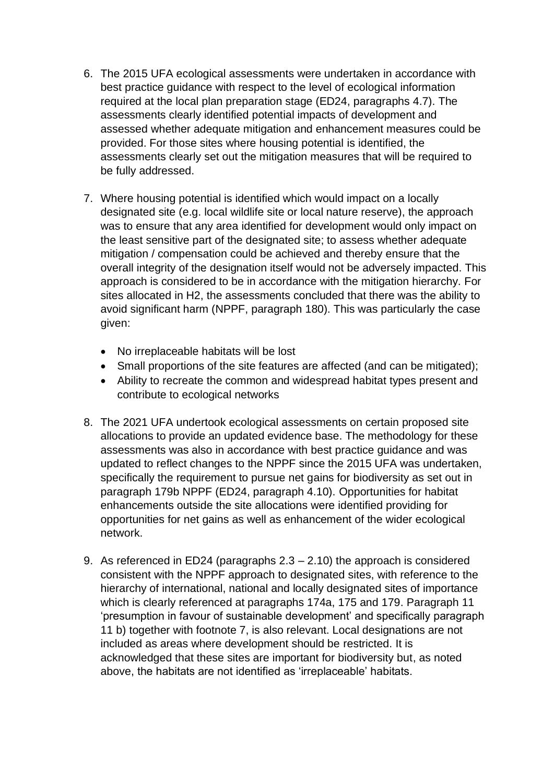- 6. The 2015 UFA ecological assessments were undertaken in accordance with best practice guidance with respect to the level of ecological information required at the local plan preparation stage (ED24, paragraphs 4.7). The assessments clearly identified potential impacts of development and assessed whether adequate mitigation and enhancement measures could be provided. For those sites where housing potential is identified, the assessments clearly set out the mitigation measures that will be required to be fully addressed.
- 7. Where housing potential is identified which would impact on a locally designated site (e.g. local wildlife site or local nature reserve), the approach was to ensure that any area identified for development would only impact on the least sensitive part of the designated site; to assess whether adequate mitigation / compensation could be achieved and thereby ensure that the overall integrity of the designation itself would not be adversely impacted. This approach is considered to be in accordance with the mitigation hierarchy. For sites allocated in H2, the assessments concluded that there was the ability to avoid significant harm (NPPF, paragraph 180). This was particularly the case given:
	- No irreplaceable habitats will be lost
	- Small proportions of the site features are affected (and can be mitigated);
	- Ability to recreate the common and widespread habitat types present and contribute to ecological networks
- 8. The 2021 UFA undertook ecological assessments on certain proposed site allocations to provide an updated evidence base. The methodology for these assessments was also in accordance with best practice guidance and was updated to reflect changes to the NPPF since the 2015 UFA was undertaken, specifically the requirement to pursue net gains for biodiversity as set out in paragraph 179b NPPF (ED24, paragraph 4.10). Opportunities for habitat enhancements outside the site allocations were identified providing for opportunities for net gains as well as enhancement of the wider ecological network.
- 9. As referenced in ED24 (paragraphs 2.3 2.10) the approach is considered consistent with the NPPF approach to designated sites, with reference to the hierarchy of international, national and locally designated sites of importance which is clearly referenced at paragraphs 174a, 175 and 179. Paragraph 11 'presumption in favour of sustainable development' and specifically paragraph 11 b) together with footnote 7, is also relevant. Local designations are not included as areas where development should be restricted. It is acknowledged that these sites are important for biodiversity but, as noted above, the habitats are not identified as 'irreplaceable' habitats.